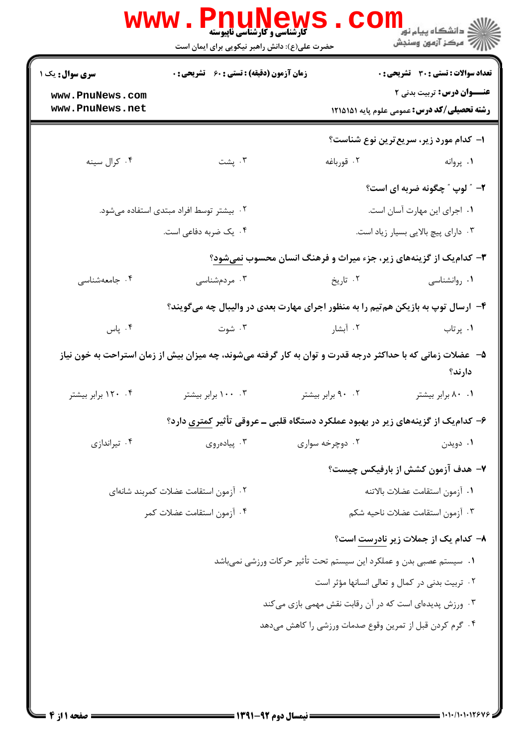|                                      | <b>گارشناسی و کارشناسی ناپیوسته</b><br>حضرت علی(ع): دانش راهبر نیکویی برای ایمان است                       |                                                                                    | ڪ دانشڪاه پيا <sub>م</sub> نور<br><mark>∕</mark> > مرڪز آزمون وسنڊش                     |  |
|--------------------------------------|------------------------------------------------------------------------------------------------------------|------------------------------------------------------------------------------------|-----------------------------------------------------------------------------------------|--|
| سری سوال: یک ۱                       | <b>زمان آزمون (دقیقه) : تستی : 60 ٪ تشریحی : 0</b>                                                         |                                                                                    | <b>تعداد سوالات : تستي : 30 ٪ تشريحي : 0</b>                                            |  |
| www.PnuNews.com<br>www.PnuNews.net   |                                                                                                            |                                                                                    | <b>عنـــوان درس:</b> تربیت بدنی ۲<br><b>رشته تحصیلی/کد درس:</b> عمومی علوم پایه ۱۲۱۵۱۵۱ |  |
|                                      |                                                                                                            |                                                                                    | ۱– کدام مورد زیر، سریع ترین نوع شناست؟                                                  |  |
| ۰۴ کرال سينه                         | بشت $\cdot$                                                                                                | ۰۲ قورباغه                                                                         | ۰۱ پروانه                                                                               |  |
|                                      |                                                                                                            |                                                                                    | ۲- ″ لوپ ″ چگونه ضربه ای است؟                                                           |  |
|                                      | ۰۲ بیشتر توسط افراد مبتدی استفاده میشود.                                                                   | ٠١ اجراى اين مهارت آسان است.                                                       |                                                                                         |  |
|                                      | ۰۴ یک ضربه دفاعی است.                                                                                      |                                                                                    | ۰۳ دارای پیچ بالایی بسیار زیاد است.                                                     |  |
|                                      |                                                                                                            | <b>۳</b> - کدام یک از گزینههای زیر، جزء میراث و فرهنگ انسان محسوب <u>نمی شود</u> ؟ |                                                                                         |  |
| ۰۴ جامعهشناسی                        | ۰۳ مردمشناسی                                                                                               | ۰۲ تاریخ                                                                           | ۰۱ روانشناسی                                                                            |  |
|                                      |                                                                                                            | ۴- ارسال توپ به بازیکن هم تیم را به منظور اجرای مهارت بعدی در والیبال چه میگویند؟  |                                                                                         |  |
| ۰۴ پاس                               | ۰۳ شوت                                                                                                     | ۰۲ آبشار                                                                           | ۰۱ پرتاب                                                                                |  |
|                                      | ۵– عضلات زمانی که با حداکثر درجه قدرت و توان به کار گرفته میشوند، چه میزان بیش از زمان استراحت به خون نیاز |                                                                                    | دارند؟                                                                                  |  |
| ۰۴ ۱۲۰ برابر بیشتر                   | ۰۳ ۱۰۰ برابر بیشتر                                                                                         | ۰۲ برابر بیشتر                                                                     | ۰۱ ۸۰ برابر بیشتر                                                                       |  |
|                                      |                                                                                                            | ۶– کدامیک از گزینههای زیر در بهبود عملکرد دستگاه قلبی ــ عروقی تأثیر کمتری دارد؟   |                                                                                         |  |
| ۰۴ تیراندازی                         | ۰۳ پیادهروی                                                                                                | ۰۲ دوچرخه سواری                                                                    | ۰۱ دويدن                                                                                |  |
|                                      |                                                                                                            |                                                                                    | ۷- هدف آزمون کشش از بارفیکس چیست؟                                                       |  |
| ٠٢ آزمون استقامت عضلات كمربند شانهاي |                                                                                                            |                                                                                    | ٠١ آزمون استقامت عضلات بالاتنه                                                          |  |
|                                      | ۰۴ آزمون استقامت عضلات کمر                                                                                 | ٠٣ آزمون استقامت عضلات ناحيه شكم                                                   |                                                                                         |  |
|                                      |                                                                                                            |                                                                                    | ۸– کدام یک از جملات زیر نادرست است؟                                                     |  |
|                                      |                                                                                                            | ٠١ سيستم عصبي بدن و عملكرد اين سيستم تحت تأثير حركات ورزشي نميباشد                 |                                                                                         |  |
|                                      |                                                                                                            |                                                                                    | ۰۲ تربیت بدنی در کمال و تعالی انسانها مؤثر است                                          |  |
|                                      |                                                                                                            | ۰۳ ورزش پدیدهای است که در آن رقابت نقش مهمی بازی میکند                             |                                                                                         |  |
|                                      |                                                                                                            | ۰۴ گرم کردن قبل از تمرین وقوع صدمات ورزشی را کاهش میدهد                            |                                                                                         |  |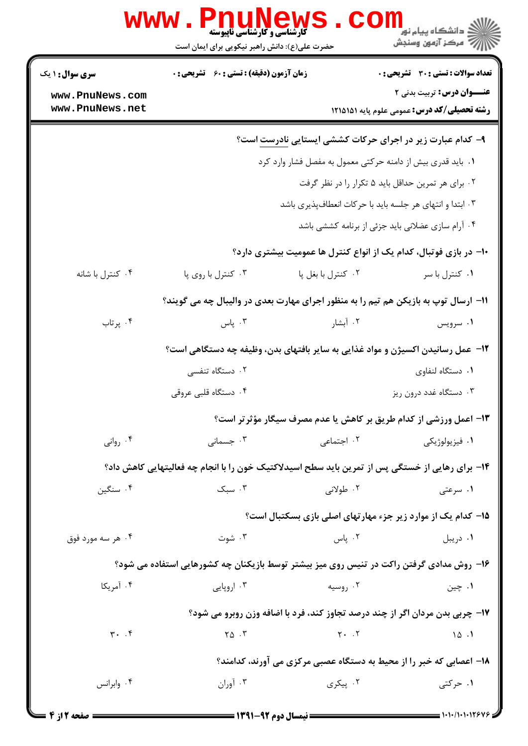| <b>www.PnuNews</b><br><mark>د</mark> دانشڪاه پيام نور<br>// مرکز آزمون وسنڊش<br><b>گارشناسی و کارشناسی ناپیوسته</b> |                                                                                |                    |                                                                                                 |  |  |  |
|---------------------------------------------------------------------------------------------------------------------|--------------------------------------------------------------------------------|--------------------|-------------------------------------------------------------------------------------------------|--|--|--|
|                                                                                                                     | حضرت علی(ع): دانش راهبر نیکویی برای ایمان است                                  |                    |                                                                                                 |  |  |  |
| <b>سری سوال : ۱ یک</b>                                                                                              | <b>زمان آزمون (دقیقه) : تستی : 60 ٪ تشریحی : 0</b>                             |                    | <b>تعداد سوالات : تستي : 30 ٪ تشريحي : 0</b>                                                    |  |  |  |
| www.PnuNews.com                                                                                                     |                                                                                |                    | <b>عنـــوان درس:</b> تربیت بدنی ۲                                                               |  |  |  |
| www.PnuNews.net                                                                                                     |                                                                                |                    | <b>رشته تحصیلی/کد درس:</b> عمومی علوم پایه ۱۲۱۵۱۵۱                                              |  |  |  |
|                                                                                                                     |                                                                                |                    | ۹- کدام عبارت زیر در اجرای حرکات کششی ایستایی <u>نادرست</u> است؟                                |  |  |  |
|                                                                                                                     |                                                                                |                    | ٠. بايد قدري بيش از دامنه حركتي معمول به مفصل فشار وارد كرد                                     |  |  |  |
|                                                                                                                     |                                                                                |                    | ۰۲ برای هر تمرین حداقل باید ۵ تکرار را در نظر گرفت                                              |  |  |  |
|                                                                                                                     | ۰۳ ابتدا و انتهای هر جلسه باید با حرکات انعطافپذیری باشد                       |                    |                                                                                                 |  |  |  |
|                                                                                                                     |                                                                                |                    | ۰۴ آرام سازی عضلانی باید جزئی از برنامه کششی باشد                                               |  |  |  |
|                                                                                                                     |                                                                                |                    | ∙۱- در بازی فوتبال، کدام یک از انواع کنترل ها عمومیت بیشتری دارد؟                               |  |  |  |
| ۰۴ کنترل با شانه                                                                                                    | ۰۳ کنترل با روی پا                                                             | ٠٢ كنترل با بغل پا | ٠١ كنترل با سر                                                                                  |  |  |  |
|                                                                                                                     |                                                                                |                    | 11- ارسال توپ به بازیکن هم تیم را به منظور اجرای مهارت بعدی در والیبال چه می گویند؟             |  |  |  |
| ۰۴ پرتاب                                                                                                            | ۰۳ پاس                                                                         | ۰۲ آبشار           | ۰۱ سرویس                                                                                        |  |  |  |
|                                                                                                                     | ۱۲– عمل رسانیدن اکسیژن و مواد غذایی به سایر بافتهای بدن، وظیفه چه دستگاهی است؟ |                    |                                                                                                 |  |  |  |
|                                                                                                                     | ۲. دستگاه تنفسی                                                                |                    | ۰۱ دستگاه لنفاوی                                                                                |  |  |  |
|                                                                                                                     | ۰۴ دستگاه قلبی عروقی                                                           |                    | ۰۳ دستگاه غدد درون ريز                                                                          |  |  |  |
|                                                                                                                     |                                                                                |                    | ۱۳- اعمل ورزشی از کدام طریق بر کاهش یا عدم مصرف سیگار مؤثرتر است؟                               |  |  |  |
| ۰۴ روانی                                                                                                            | ۰۳ جسمانی                                                                      | ۰۲ اجتماعی         | ۰۱ فیزیولوژیکی                                                                                  |  |  |  |
|                                                                                                                     |                                                                                |                    | ۱۴– برای رهایی از خستگی پس از تمرین باید سطح اسیدلاکتیک خون را با انجام چه فعالیتهایی کاهش داد؟ |  |  |  |
| ۰۴ سنگین                                                                                                            | ۰۳ سبک                                                                         | ۲. طولانی          | ۰۱ سرعتی                                                                                        |  |  |  |
|                                                                                                                     |                                                                                |                    | ۱۵– کدام یک از موارد زیر جزء مهارتهای اصلی بازی بسکتبال است؟                                    |  |  |  |
| ۰۴ هر سه مورد فوق                                                                                                   | ۰۳ شوت                                                                         | ۰۲ پاس             | ۰۱ دریبل                                                                                        |  |  |  |
|                                                                                                                     |                                                                                |                    | ۱۶- روش مدادی گرفتن راکت در تنیس روی میز بیشتر توسط بازیکنان چه کشورهایی استفاده می شود؟        |  |  |  |
| ۰۴ آمریکا                                                                                                           | ۰۳ اروپایی                                                                     | ۰۲ روسیه           | ۰۱ چين                                                                                          |  |  |  |
|                                                                                                                     |                                                                                |                    | ۱۷- چربی بدن مردان اگر از چند درصد تجاوز کند، فرد با اضافه وزن روبرو می شود؟                    |  |  |  |
| $\mathbf{r}$ . $\mathbf{r}$                                                                                         | $\Gamma \Delta$ .                                                              | $Y - 5$            | 10.1                                                                                            |  |  |  |
|                                                                                                                     |                                                                                |                    |                                                                                                 |  |  |  |
| ۰۴ وابرانس                                                                                                          | ۰۳ آوران                                                                       | ۰۲ پیکری           | ۱۸- اعصابی که خبر را از محیط به دستگاه عصبی مرکزی می آورند، کدامند؟<br>۱. حرکتی                 |  |  |  |
|                                                                                                                     |                                                                                |                    |                                                                                                 |  |  |  |

1.1.1.1.129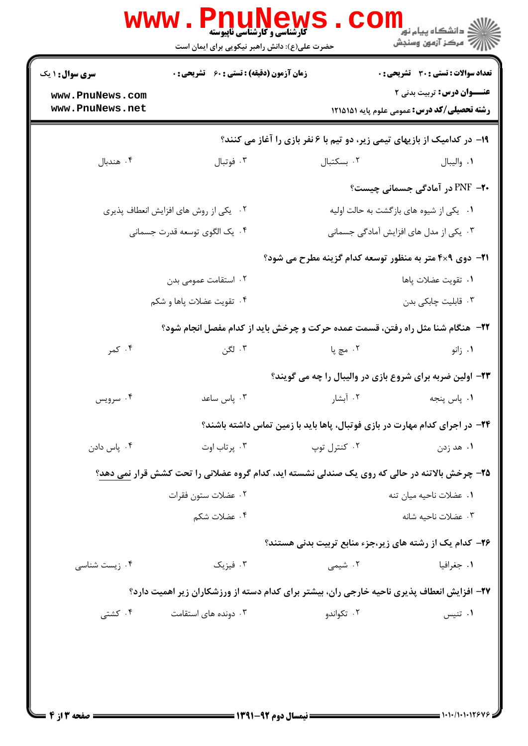| <b>سری سوال : ۱ یک</b>                                                                        | زمان آزمون (دقیقه) : تستی : 60 ٪ تشریحی : 0 |                                                                                            | <b>تعداد سوالات : تستی : 30 ٪ تشریحی : 0</b>                                    |  |
|-----------------------------------------------------------------------------------------------|---------------------------------------------|--------------------------------------------------------------------------------------------|---------------------------------------------------------------------------------|--|
| www.PnuNews.com<br>www.PnuNews.net                                                            |                                             |                                                                                            | عنــوان درس: تربیت بدنی ۲<br><b>رشته تحصیلی/کد درس:</b> عمومی علوم پایه ۱۲۱۵۱۵۱ |  |
|                                                                                               |                                             |                                                                                            |                                                                                 |  |
|                                                                                               |                                             | ۱۹- در کدامیک از بازیهای تیمی زیر، دو تیم با ۶ نفر بازی را آغاز می کنند؟                   |                                                                                 |  |
| ۰۴ هندبال                                                                                     | ۰۳ فوتبال                                   | ٠٢ بسكتبال                                                                                 | ٠١. واليبال                                                                     |  |
|                                                                                               |                                             |                                                                                            | <b>۲۰</b> - PNF در آمادگی جسمانی چیست؟                                          |  |
| ۰۲ یکی از روش های افزایش انعطاف پذیری                                                         |                                             |                                                                                            | ۰۱ یکی از شیوه های بازگشت به حالت اولیه                                         |  |
| ۰۴ یک الگوی توسعه قدرت جسمانی                                                                 |                                             |                                                                                            | ۰۳ یکی از مدل های افزایش آمادگی جسمانی                                          |  |
|                                                                                               |                                             | <b>۲۱</b> - دوی ۴×۴ متر به منظور توسعه کدام گزینه مطرح می شود؟                             |                                                                                 |  |
| ۰۲ استقامت عمومی بدن                                                                          |                                             |                                                                                            | ٠١ تقويت عضلات پاها                                                             |  |
|                                                                                               | ۰۴ تقويت عضلات پاها و شكم                   |                                                                                            | ۰۳ قابلیت چابکی بدن                                                             |  |
|                                                                                               |                                             | <b>3۲-</b> هنگام شنا مثل راه رفتن، قسمت عمده حرکت و چرخش باید از کدام مفصل انجام شود؟      |                                                                                 |  |
| ۰۴ کمر                                                                                        | ۰۳ لگن                                      | ۲ . مچ پا                                                                                  | ۰۱ زانو                                                                         |  |
|                                                                                               |                                             | ۲۳- اولین ضربه برای شروع بازی در والیبال را چه می گویند؟                                   |                                                                                 |  |
| ۰۴ سرویس                                                                                      | ۰۳ پاس ساعد                                 | ۰۲ آبشار                                                                                   | ۰۱ پاس پنجه                                                                     |  |
|                                                                                               |                                             | <b>۲۴</b> - در اجرای کدام مهارت در بازی فوتبال، پاها باید با زمین تماس داشته باشند؟        |                                                                                 |  |
| ۰۴ پاس دادن                                                                                   | ۰۳ پر تاب اوت                               | ۰۲ کنترل توپ                                                                               | ۰۱ هد زدن                                                                       |  |
| ۲۵- چرخش بالاتنه در حالی که روی یک صندلی نشسته اید، کدام گروه عضلانی را تحت کشش قرار نمی دهد؟ |                                             |                                                                                            |                                                                                 |  |
| ٠٢ عضلات ستون فقرات                                                                           |                                             |                                                                                            | ٠١. عضلات ناحيه ميان تنه                                                        |  |
|                                                                                               | ۰۴ عضلات شکم                                |                                                                                            | ۰۳ عضلات ناحیه شانه                                                             |  |
|                                                                                               |                                             | ۲۶- کدام یک از رشته های زیر،جزء منابع تربیت بدنی هستند؟                                    |                                                                                 |  |
| ۰۴ زیست شناسی                                                                                 | ۰۳ فیزیک                                    | ۰۲ شیمی                                                                                    | ۰۱ جغرافیا                                                                      |  |
|                                                                                               |                                             | ۲۷– افزایش انعطاف پذیری ناحیه خارجی ران، بیشتر برای کدام دسته از ورزشکاران زیر اهمیت دارد؟ |                                                                                 |  |
| ۰۴ کشتی<br>۰۳ دونده های استقامت                                                               |                                             | ۰۲ تکواندو                                                                                 | ۰۱ تنيس                                                                         |  |
|                                                                                               |                                             |                                                                                            |                                                                                 |  |